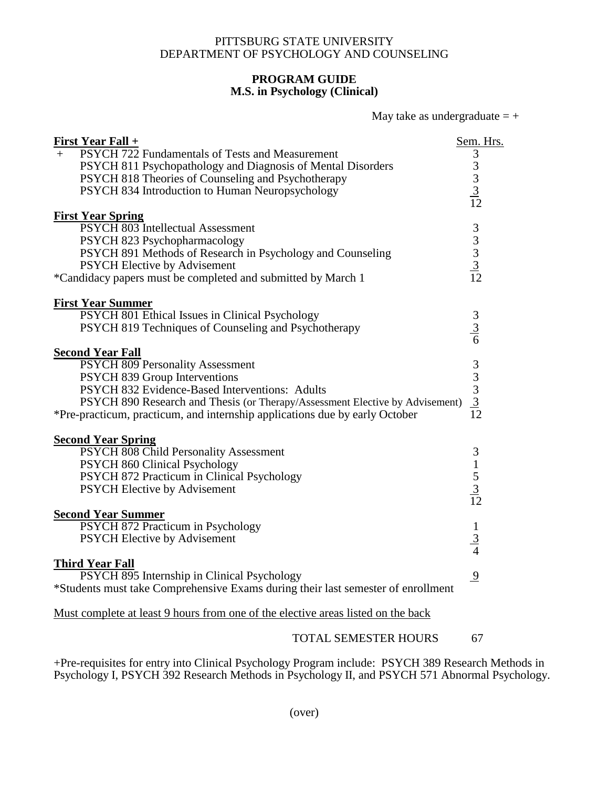## PITTSBURG STATE UNIVERSITY DEPARTMENT OF PSYCHOLOGY AND COUNSELING

## **PROGRAM GUIDE M.S. in Psychology (Clinical)**

| May take as undergraduate $= +$ |
|---------------------------------|
|---------------------------------|

| <b>First Year Fall +</b>                                                                                              | Sem. Hrs.                                                                                                                    |
|-----------------------------------------------------------------------------------------------------------------------|------------------------------------------------------------------------------------------------------------------------------|
| PSYCH 722 Fundamentals of Tests and Measurement<br>$+$<br>PSYCH 811 Psychopathology and Diagnosis of Mental Disorders | 3                                                                                                                            |
| PSYCH 818 Theories of Counseling and Psychotherapy                                                                    | $\begin{array}{c}\n3 \\ 3 \\ \underline{3} \\ \underline{1} \\ \end{array}$                                                  |
| PSYCH 834 Introduction to Human Neuropsychology                                                                       |                                                                                                                              |
|                                                                                                                       |                                                                                                                              |
| <b>First Year Spring</b>                                                                                              |                                                                                                                              |
| PSYCH 803 Intellectual Assessment                                                                                     |                                                                                                                              |
| PSYCH 823 Psychopharmacology                                                                                          | $\begin{array}{c} 3 \\ 3 \\ 3 \\ \underline{3} \\ 12 \end{array}$                                                            |
| PSYCH 891 Methods of Research in Psychology and Counseling                                                            |                                                                                                                              |
| <b>PSYCH Elective by Advisement</b>                                                                                   |                                                                                                                              |
| *Candidacy papers must be completed and submitted by March 1                                                          |                                                                                                                              |
|                                                                                                                       |                                                                                                                              |
| <b>First Year Summer</b>                                                                                              |                                                                                                                              |
| PSYCH 801 Ethical Issues in Clinical Psychology<br>PSYCH 819 Techniques of Counseling and Psychotherapy               |                                                                                                                              |
|                                                                                                                       | $\frac{3}{6}$                                                                                                                |
| <b>Second Year Fall</b>                                                                                               |                                                                                                                              |
| <b>PSYCH 809 Personality Assessment</b>                                                                               |                                                                                                                              |
| PSYCH 839 Group Interventions                                                                                         | $\begin{array}{c}\n3 \\ 3 \\ \hline\n3 \\ \hline\n\end{array}$ $\begin{array}{c}\n3 \\ \hline\n3 \\ \hline\n12\n\end{array}$ |
| PSYCH 832 Evidence-Based Interventions: Adults                                                                        |                                                                                                                              |
| PSYCH 890 Research and Thesis (or Therapy/Assessment Elective by Advisement)                                          |                                                                                                                              |
| *Pre-practicum, practicum, and internship applications due by early October                                           |                                                                                                                              |
| <b>Second Year Spring</b>                                                                                             |                                                                                                                              |
| PSYCH 808 Child Personality Assessment                                                                                | $\mathfrak{Z}$                                                                                                               |
| PSYCH 860 Clinical Psychology                                                                                         |                                                                                                                              |
| PSYCH 872 Practicum in Clinical Psychology                                                                            |                                                                                                                              |
| <b>PSYCH Elective by Advisement</b>                                                                                   | $\frac{1}{5}$ $\frac{3}{12}$                                                                                                 |
|                                                                                                                       |                                                                                                                              |
| <b>Second Year Summer</b>                                                                                             |                                                                                                                              |
| PSYCH 872 Practicum in Psychology                                                                                     |                                                                                                                              |
| <b>PSYCH Elective by Advisement</b>                                                                                   | $\frac{1}{3}$                                                                                                                |
|                                                                                                                       |                                                                                                                              |
| <b>Third Year Fall</b>                                                                                                |                                                                                                                              |
| PSYCH 895 Internship in Clinical Psychology                                                                           | $\overline{9}$                                                                                                               |
| *Students must take Comprehensive Exams during their last semester of enrollment                                      |                                                                                                                              |
| Must complete at least 9 hours from one of the elective areas listed on the back                                      |                                                                                                                              |
|                                                                                                                       |                                                                                                                              |

TOTAL SEMESTER HOURS 67

+Pre-requisites for entry into Clinical Psychology Program include: PSYCH 389 Research Methods in Psychology I, PSYCH 392 Research Methods in Psychology II, and PSYCH 571 Abnormal Psychology.